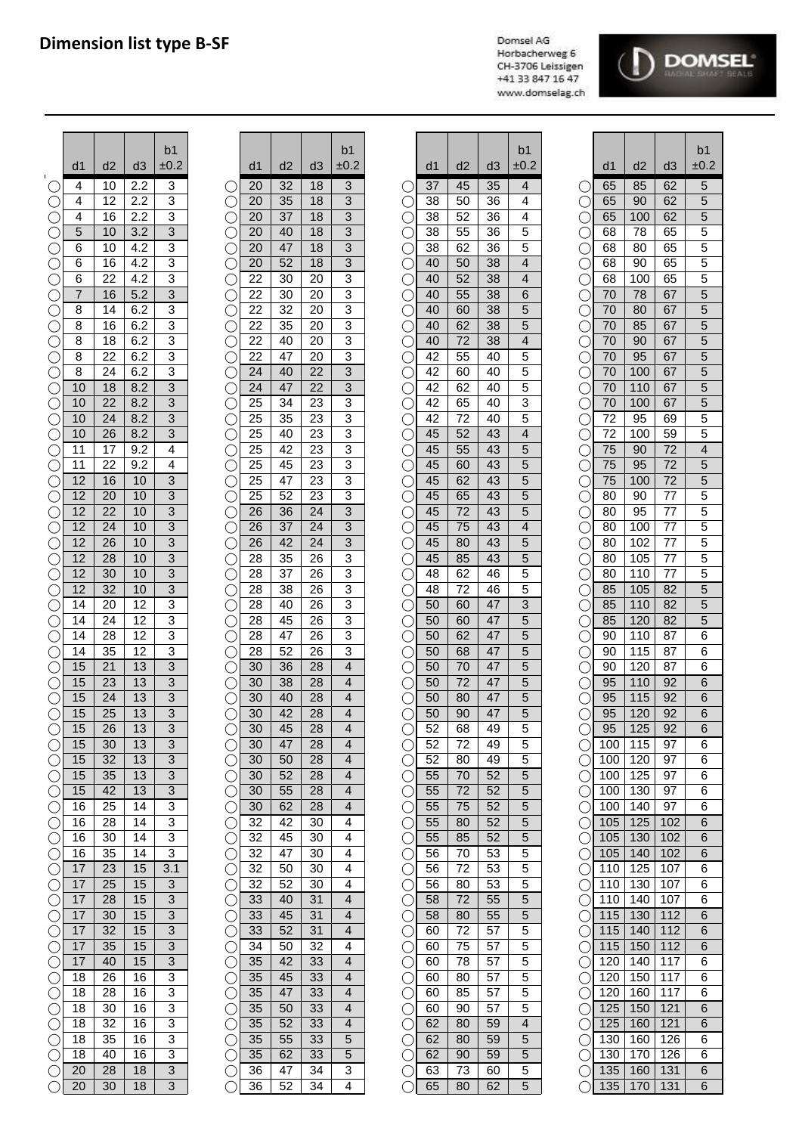## **Dimension list type B-SF**

Domsel AG Horbacherweg 6 CH-3706 Leissigen +41 33 847 16 47 www.domselag.ch



|            |                |    |                  | b1                        |                 |        |    |                | b1                       |                         |    |    |    | b <sub>1</sub>          |                                             |                |     |                 | p.                       |
|------------|----------------|----|------------------|---------------------------|-----------------|--------|----|----------------|--------------------------|-------------------------|----|----|----|-------------------------|---------------------------------------------|----------------|-----|-----------------|--------------------------|
|            | d1             | d2 | d3               | ±0.2                      |                 | d1     | d2 | d <sub>3</sub> | ±0.2                     |                         | d1 | d2 | d3 | ±0.2                    |                                             | d1             | d2  | d3              | ±0                       |
|            | 4              | 10 | 2.2              | 3                         |                 | 20     | 32 | 18             | 3                        |                         | 37 | 45 | 35 | 4                       |                                             | 65             | 85  | 62              | 5                        |
|            | 4              | 12 | 2.2              | 3                         |                 | 20     | 35 | 18             | 3                        |                         | 38 | 50 | 36 | 4                       |                                             | 65             | 90  | 62              | 5                        |
|            | 4              | 16 | 2.2              | 3                         |                 | 20     | 37 | 18             | 3                        | С                       | 38 | 52 | 36 | 4                       | С                                           | 65             | 100 | 62              | 5                        |
| C          | 5              | 10 | $\overline{3.2}$ | $\overline{3}$            | С               | 20     | 40 | 18             | 3                        | С                       | 38 | 55 | 36 | 5                       | С                                           | 68             | 78  | 65              | 5                        |
| C          | 6              | 10 | 4.2              | 3                         | С               | 20     | 47 | 18             | 3                        | С                       | 38 | 62 | 36 | 5                       | С                                           | 68             | 80  | 65              | 5                        |
| C          | 6              | 16 | 4.2              | $\overline{3}$            | С               | 20     | 52 | 18             | $\overline{3}$           | С                       | 40 | 50 | 38 | $\overline{\mathbf{4}}$ | С                                           | 68             | 90  | 65              | 5                        |
| C          | 6              | 22 | 4.2              | 3                         | С               | 22     | 30 | 20             | $\overline{3}$           | $\subset$               | 40 | 52 | 38 | 4                       | С                                           | 68             | 100 | 65              | 5                        |
| $\bigcirc$ | $\overline{7}$ | 16 | 5.2              | $\overline{3}$            | $\bigcirc$      | 22     | 30 | 20             | 3                        | $\overline{C}$          | 40 | 55 | 38 | 6                       | $\bigcirc$                                  | 70             | 78  | 67              | 5                        |
| $\bigcirc$ | 8              | 14 | 6.2              | 3                         | С               | 22     | 32 | 20             | 3                        | С                       | 40 | 60 | 38 | 5                       | $\bigcirc$                                  | 70             | 80  | 67              | 5                        |
| $\bigcirc$ | 8              | 16 | 6.2              | 3                         | С               | 22     | 35 | 20             | 3                        | С                       | 40 | 62 | 38 | 5                       | С                                           | 70             | 85  | 67              | 5                        |
| C          | 8              | 18 | 6.2              | 3                         | С               | 22     | 40 | 20             | 3                        | С                       | 40 | 72 | 38 | 4                       | С                                           | 70             | 90  | 67              | 5                        |
| C          | 8              | 22 | 6.2              | 3                         | С               | 22     | 47 | 20             | 3                        | С                       | 42 | 55 | 40 | 5                       | С                                           | 70             | 95  | 67              | 5                        |
|            | 8              | 24 | 6.2              | 3                         |                 | 24     | 40 | 22             | 3                        | $\subset$               | 42 | 60 | 40 | 5                       | С                                           | 70             | 100 | 67              | 5                        |
|            | 10             | 18 | 8.2              | 3                         |                 | 24     | 47 | 22             | 3                        | C                       | 42 | 62 | 40 | 5                       | C                                           | 70             | 110 | 67              | 5                        |
| C          | 10             | 22 | 8.2              | 3                         | С               | 25     | 34 | 23             | 3                        | С                       | 42 | 65 | 40 | 3                       | С                                           | 70             | 100 | 67              | 5                        |
| С          | 10             | 24 | 8.2              | 3                         | С               | 25     | 35 | 23             | 3                        | С                       | 42 | 72 | 40 | 5                       | C                                           | 72             | 95  | 69              | 5                        |
| C          | 10             | 26 | 8.2              | $\overline{3}$            | С               | 25     | 40 | 23             | 3                        | $\subset$               | 45 | 52 | 43 | $\overline{\mathbf{4}}$ | С                                           | 72             | 100 | 59              | 5                        |
| С          | 11             | 17 | 9.2              | $\overline{4}$            | С               | 25     | 42 | 23             | 3                        | $\subset$               | 45 | 55 | 43 | 5                       | C                                           | 75             | 90  | $\overline{72}$ | $\overline{\mathcal{L}}$ |
| $\subset$  | 11             | 22 | 9.2              | 4                         | С               | 25     | 45 | 23             | 3                        | $\subset$               | 45 | 60 | 43 | 5                       | С                                           | 75             | 95  | 72              | 5                        |
| $\subset$  | 12             | 16 | 10               | 3                         | O               | 25     | 47 | 23             | 3                        | $\overline{C}$          | 45 | 62 | 43 | 5                       | $\bigcirc$                                  | 75             | 100 | 72              | 5                        |
| $\bigcirc$ | 12             | 20 | 10               | 3                         | О               | 25     | 52 | 23             | 3                        | $\bigcirc$              | 45 | 65 | 43 | 5                       | $\bigcirc$                                  | 80             | 90  | 77              | 5                        |
| $\subset$  | 12             | 22 | 10               | 3                         |                 | 26     | 36 | 24             | 3                        | $\subset$               | 45 | 72 | 43 | 5                       | $\bigcirc$                                  | 80             | 95  | 77              | 5                        |
| $\subset$  | 12             | 24 | 10               | 3                         | С               | 26     | 37 | 24             | 3                        | С                       | 45 | 75 | 43 | 4                       | $\subset$                                   | 80             | 100 | 77              | 5                        |
| C          | 12             | 26 | 10               | 3                         | С               | 26     | 42 | 24             | 3                        | С                       | 45 | 80 | 43 | 5                       | С                                           | 80             | 102 | 77              | 5                        |
|            | 12             | 28 | 10               | 3                         |                 | 28     | 35 | 26             | 3                        |                         | 45 | 85 | 43 | 5                       | $\subset$                                   | 80             | 105 | 77              | 5                        |
|            | 12             | 30 | 10               | 3                         |                 | 28     | 37 | 26             | 3                        | $\bigcirc$              | 48 | 62 | 46 | 5                       | С                                           | 80             | 110 | 77              | 5                        |
|            | 12             | 32 | 10               | 3                         | С               | 28     | 38 | 26             | 3                        | С                       | 48 | 72 | 46 | 5                       | $\bigcirc$                                  | 85             | 105 | 82              | 5                        |
|            | 14             | 20 | 12               | 3                         | С               | 28     | 40 | 26             | 3                        | С                       | 50 | 60 | 47 | $\overline{3}$          | $\bigcirc$                                  | 85             | 110 | 82              | 5                        |
| C          | 14             | 24 | 12               | $\overline{3}$            | С               | 28     | 45 | 26             | 3                        | С                       | 50 | 60 | 47 | 5                       | С                                           | 85             | 120 | 82              | 5                        |
| С          | 14             | 28 | 12               | 3                         | С               | 28     | 47 | 26             | 3                        | С                       | 50 | 62 | 47 | 5                       | С                                           | 90             | 110 | 87              | 6                        |
| С          | 14             | 35 | $\overline{12}$  | 3                         | С               | 28     | 52 | 26             | 3                        | $\overline{\mathbb{C}}$ | 50 | 68 | 47 | 5                       | $\bigcirc$                                  | 90             | 115 | 87              | $\epsilon$               |
| C          | 15             | 21 | 13               | $\overline{3}$            | С               | 30     | 36 | 28             | $\overline{\mathbf{4}}$  | $\subset$               | 50 | 70 | 47 | 5                       | $\bigcirc$                                  | 90             | 120 | 87              | 6                        |
| $\bigcirc$ | 15             | 23 | 13               | 3                         | О               | 30     | 38 | 28             | 4                        | $\bigcirc$              | 50 | 72 | 47 | 5                       | $\bigcirc$                                  | 95             | 110 | 92              | $\epsilon$               |
| $\bigcirc$ | 15             | 24 | 13               | 3                         | О               | 30     | 40 | 28             | $\overline{\mathbf{r}}$  | C                       | 50 | 80 | 47 | 5                       | $\bigcirc$                                  | 95             | 115 | 92              | $\epsilon$               |
| $\bigcirc$ | 15             | 25 | 13               | 3                         | С               | 30     | 42 | 28             | $\overline{\mathbf{r}}$  | С                       | 50 | 90 | 47 | 5                       | С                                           | 95             | 120 | 92              | $\epsilon$               |
| $\bigcirc$ | 15             | 26 | 13               | 3                         | $\bigcirc$      | $30\,$ | 45 | 28             | $\overline{4}$           | $\bigcirc$              | 52 | 68 | 49 | 5                       | $\bigcirc$                                  | 95             | 125 | 92              | 6                        |
| $\bigcirc$ | 15             | 30 | 13               | 3                         | ○               | 30     | 47 | 28             | 4                        | C                       | 52 | 72 | 49 | 5                       | $\left(\begin{array}{c} \end{array}\right)$ | 100            | 115 | 97              | 6                        |
| O          | 15             | 32 | 13               | 3                         |                 | 30     | 50 | 28             | 4                        | $\bigcirc$              | 52 | 80 | 49 | 5                       |                                             | 100            | 120 | 97              | 6                        |
| O          | 15             | 35 | 13               | 3                         | C               | 30     | 52 | 28             | 4                        | $\bigcirc$              | 55 | 70 | 52 | 5                       | O                                           | 100            | 125 | 97              | 6                        |
| $\bigcirc$ | 15             | 42 | 13               | $\ensuremath{\mathsf{3}}$ | С               | 30     | 55 | 28             | 4                        | $\bigcirc$              | 55 | 72 | 52 | 5                       | $\bigcirc$                                  | 100            | 130 | 97              | Е                        |
| $\bigcirc$ | 16             | 25 | 14               | 3                         | С               | 30     | 62 | 28             | 4                        | С                       | 55 | 75 | 52 | 5                       | $\bigcirc$                                  | 100            | 140 | 97              | 6                        |
| $\bigcirc$ | 16             | 28 | 14               | $\ensuremath{\mathsf{3}}$ | О               | 32     | 42 | 30             | 4                        | С                       | 55 | 80 | 52 | 5                       | $\bigcirc$                                  | 105            | 125 | 102             | $\epsilon$               |
| $\bigcirc$ | 16             | 30 | 14               | 3                         | О               | 32     | 45 | 30             | 4                        | С                       | 55 | 85 | 52 | 5                       | O                                           | 105            | 130 | 102             | $\epsilon$               |
| $\bigcirc$ | 16             | 35 | 14               | 3                         | О               | 32     | 47 | 30             | 4                        | $\bigcirc$              | 56 | 70 | 53 | 5                       | $\bigcirc$                                  | 105            | 140 | 102             | $\epsilon$               |
| $\bigcirc$ | 17             | 23 | 15               | 3.1                       | $\bigcirc$      | 32     | 50 | 30             | 4                        | $\bigcirc$              | 56 | 72 | 53 | 5                       | $\bigcirc$                                  | 110            | 125 | 107             | $\epsilon$               |
| $\bigcirc$ | 17             | 25 | 15               | $\ensuremath{\mathsf{3}}$ | $\bigcirc$      | 32     | 52 | 30             | 4                        | $\bigcirc$              | 56 | 80 | 53 | 5                       | $\bigcirc$                                  | 110            | 130 | 107             | 6                        |
| $\bigcirc$ | 17             | 28 | 15               | $\ensuremath{\mathsf{3}}$ | О               | 33     | 40 | 31             | 4                        | $\bigcirc$              | 58 | 72 | 55 | 5                       | О                                           | 110            | 140 | 107             | 6                        |
| $\bigcirc$ | 17             | 30 | 15               | 3                         | O               | 33     | 45 | 31             | 4                        | $\bigcirc$              | 58 | 80 | 55 | 5                       | Ő                                           | 115            | 130 | 112             | $\epsilon$               |
| $\bigcirc$ | 17             | 32 | 15               | 3                         | O               | 33     | 52 | 31             | 4                        | $\bigcirc$              | 60 | 72 | 57 | 5                       | Ő                                           | 115            | 140 | 112             | $\epsilon$               |
| $\bigcirc$ | 17             | 35 | 15               | $\ensuremath{\mathsf{3}}$ | O               | 34     | 50 | 32             | 4                        | O                       | 60 | 75 | 57 | 5                       | Ő                                           | 115            | 150 | 112             | $\epsilon$               |
| $\bigcirc$ | 17             | 40 | 15               | 3                         | $\bigcirc$      | 35     | 42 | 33             | $\overline{4}$           | $\bigcirc$              | 60 | 78 | 57 | 5                       | O                                           | 120            | 140 | 117             | $\epsilon$               |
| $\bigcirc$ | 18             | 26 | 16               | 3                         | О               | 35     | 45 | 33             | 4                        | $\bigcirc$              | 60 | 80 | 57 | 5                       | $\bigcirc$                                  | 120            | 150 | 117             | 6                        |
| $\bigcirc$ | 18             | 28 | 16               | 3                         | С               | 35     | 47 | 33             | 4                        | $\bigcirc$              | 60 | 85 | 57 | 5                       | $\bigcirc$                                  | 120            | 160 | 117             | $\epsilon$               |
| $\bigcirc$ | 18             | 30 | 16               | 3                         | С               | 35     | 50 | 33             | 4                        | О                       | 60 | 90 | 57 | 5                       | $\bigcirc$                                  | 125            | 150 | 121             | $\epsilon$               |
| $\bigcirc$ | 18             | 32 | 16               | 3                         | С               | 35     | 52 | 33             | $\overline{\mathcal{A}}$ | $\bigcirc$              | 62 | 80 | 59 | $\overline{4}$          | $\left(\right)$                             | 125            | 160 | 121             | $\epsilon$               |
| $\bigcirc$ | 18             | 35 | 16               | 3                         | C               | 35     | 55 | 33             | 5                        | C                       | 62 | 80 | 59 | 5                       | $\left(\right)$                             | 130            | 160 | 126             | 6                        |
| $\bigcirc$ | 18             | 40 | 16               | 3                         | O               | 35     | 62 | 33             | 5                        | $\bigcirc$              | 62 | 90 | 59 | 5                       | $\left(\right)$                             | 130            | 170 | 126             | 6                        |
| $\bigcirc$ | 20             | 28 | 18               | 3                         | $\left(\right)$ | 36     | 47 | 34             | 3                        | O                       | 63 | 73 | 60 | 5                       | $\bigcirc$                                  | 135            | 160 | 131             | $\epsilon$               |
| $\bigcirc$ | 20             | 30 | 18               | $\mathbf{3}$              |                 | 36     | 52 | 34             | 4                        |                         | 65 | 80 | 62 | 5                       |                                             | $\bigcirc$ 135 | 170 | 131             | $\epsilon$               |

| b <sub>1</sub>                   |                         |                 |          |                 | b <sub>1</sub>      |                       |                 |          |                | b1                      |
|----------------------------------|-------------------------|-----------------|----------|-----------------|---------------------|-----------------------|-----------------|----------|----------------|-------------------------|
| ±0.2                             |                         | d <sub>1</sub>  | d2       | d <sub>3</sub>  | ±0.2                |                       | d1              | d2       | d <sub>3</sub> | ±0.2                    |
| 3                                | C                       | 20              | 32       | 18              | 3                   | C .                   | $\overline{37}$ | 45       | 35             | 4                       |
| $\overline{3}$                   | Ć                       | 20              | 35       | 18              | $\overline{3}$      |                       | 38              | 50       | 36             | 4                       |
| 3                                | C                       | 20              | 37       | 18              | 3                   |                       | 38              | 52       | 36             | 4                       |
| $\overline{3}$                   | С                       | 20              | 40       | 18              | 3                   | С                     | 38              | 55       | 36             | 5                       |
| 3                                | С                       | 20              | 47       | 18              | 3                   | C                     | 38              | 62       | 36             | 5                       |
| $\overline{3}$                   | C                       | 20              | 52       | 18              | 3                   | $\bigcirc$            | 40              | 50       | 38             | 4                       |
|                                  | C                       | 22              | 30       | 20              | 3                   | $\bar{\bigcirc}$      | 40              | 52       | 38             | 4                       |
| $\frac{3}{3}$                    | Ĉ                       | 22              | 30       | 20              | 3                   | Ĉ                     | 40              | 55       | 38             | $\overline{6}$          |
| $\overline{3}$                   | C                       | 22              | 32       | 20              | 3                   | C                     | 40              | 60       | 38             | 5                       |
| $\overline{3}$                   | С                       | 22              | 35       | 20              | 3                   | С                     | 40              | 62       | 38             | 5                       |
| $\overline{3}$                   | C                       | 22              | 40       | 20              | 3                   | С                     | 40              | 72       | 38             | 4                       |
| $\overline{3}$                   | Ć                       | 22              | 47       | 20              | 3                   | Ć                     | 42              | 55       | 40             | 5                       |
| 3                                | Ć                       | 24              | 40       | 22              | 3                   | Ć                     | 42              | 60       | 40             | 5                       |
| $\overline{3}$                   | Ć                       | 24              | 47       | 22              | 3                   | Ć                     | 42              | 62       | 40             | 5                       |
| $\overline{3}$                   | Ć                       | 25              | 34       | $\overline{23}$ | 3                   | C                     | 42              | 65       | 40             | 3                       |
| $\overline{3}$                   | С                       | 25              | 35       | 23              | 3                   | С                     | 42              | 72       | 40             | 5                       |
| $\overline{3}$                   | С                       | 25              | 40       | 23              | 3                   | C<br>C                | 45              | 52       | 43             | $\overline{\mathbf{r}}$ |
| 4                                | C                       | 25              | 42       | 23              | 3                   |                       | 45              | 55       | 43             | 5                       |
| 4                                | C                       | 25              | 45       | 23              | 3                   | $\bar{\bigcirc}$      | 45              | 60       | 43             | $\overline{5}$          |
| $\overline{3}$                   | C                       | 25              | 47       | 23              | 3                   | Ć                     | 45              | 62       | 43             | 5                       |
| $\overline{3}$                   | C                       | 25              | 52       | 23              | 3                   | Ĉ                     | 45              | 65       | 43             | 5                       |
| $\overline{3}$                   | $\widehat{\phantom{a}}$ | 26              | 36       | 24              | $\overline{3}$      | С                     | 45              | 72       | 43             | 5                       |
| $\overline{3}$                   | C                       | 26              | 37       | 24              | 3                   | С                     | 45              | 75       | 43             | 4                       |
| $\overline{3}$                   | Γ                       | 26              | 42       | 24              | $\overline{3}$      | С                     | 45              | 80       | 43             | $\overline{5}$          |
| $\overline{3}$                   | С                       | 28              | 35       | 26              | 3                   | $\overline{\text{C}}$ | 45              | 85       | 43             | 5                       |
| $\overline{3}$                   | Ć                       | 28              | 37       | 26              | 3                   | Č                     | 48              | 62       | 46             | 5                       |
| $\overline{3}$                   | Ć                       | 28              | 38       | 26              | 3                   | Ć                     | 48              | 72       | 46             | $\overline{5}$          |
| 3                                | Ć                       | 28              | 40       | 26              | 3                   | C                     | 50              | 60       | 47             | $\overline{3}$          |
| $\overline{3}$                   | С                       | 28              | 45       | 26              | 3                   | С                     | 50              | 60       | 47             | 5                       |
| 3                                | С                       | 28              | 47       | 26              | 3                   | С                     | 50              | 62       | 47             | $\overline{5}$          |
| 3                                | С                       | 28              | 52       | 26              | 3                   | Ć                     | 50              | 68       | 47             | 5                       |
| $\overline{3}$                   | C                       | 30              | 36       | 28              | 4                   | C                     | 50              | 70       | 47             | 5                       |
| $\overline{3}$                   | C                       | 30              | 38       | 28              | 4                   |                       | 50              | 72       | 47             | 5                       |
| $\overline{3}$<br>$\overline{3}$ | $\widehat{\phantom{a}}$ | 30              | 40       | 28              | 4                   | Π                     | 50              | 80       | 47             | 5                       |
| $\overline{3}$                   | Γ                       | 30<br>30        | 42<br>45 | 28              | 4<br>$\overline{4}$ | n                     | 50              | 90       | 47             | $\frac{5}{5}$           |
| 3                                |                         | 30              | 47       | 28<br>28        | 4                   |                       | 52<br>52        | 68<br>72 | 49<br>49       |                         |
| 3                                |                         | 30              | 50       | 28              | 4                   |                       | 52              | 80       | 49             | 5<br>5                  |
| $\overline{3}$                   | C                       | 30              | 52       | 28              | 4                   |                       | 55              | 70       | 52             | 5                       |
| $\overline{3}$                   | C                       | 30              | 55       | 28              | 4                   | С                     | 55              | 72       | 52             | 5                       |
| 3                                | С                       | 30              | 62       | 28              | 4                   | С                     | 55              | 75       | 52             | 5                       |
| 3                                | С                       | 32              | 42       | 30              | 4                   | С                     | 55              | 80       | 52             | 5                       |
| 3                                | С                       | 32              | 45       | 30              | 4                   |                       | 55              | 85       | 52             | $\overline{5}$          |
| 3                                | C                       | 32              | 47       | 30              | 4                   |                       | 56              | 70       | 53             | 5                       |
| 3.1                              | C                       | 32              | 50       | 30              | 4                   | ◯                     | 56              | 72       | 53             | 5                       |
| $\overline{3}$                   | C                       | $\overline{32}$ | 52       | 30              | 4                   |                       | 56              | 80       | 53             | 5                       |
| $\overline{3}$                   | C                       | 33              | 40       | 31              | 4                   | Π                     | 58              | 72       | 55             | 5                       |
| 3                                | Γ                       | 33              | 45       | 31              | 4                   | C                     | 58              | 80       | 55             | $\overline{5}$          |
| $\overline{3}$                   | C                       | 33              | 52       | 31              | 4                   | C .                   | 60              | 72       | 57             | 5                       |
| $\overline{3}$                   | C                       | 34              | 50       | 32              | 4                   | С                     | 60              | 75       | 57             | 5                       |
| $\overline{3}$                   | С                       | 35              | 42       | 33              | 4                   | С                     | 60              | 78       | 57             | 5                       |
| 3                                | C                       | 35              | 45       | 33              | 4                   | С                     | 60              | 80       | 57             | 5                       |
| 3                                | Ć                       | 35              | 47       | 33              | 4                   | С                     | 60              | 85       | 57             | 5                       |
| $\overline{3}$                   | С                       | 35              | 50       | 33              | 4                   | C                     | 60              | 90       | 57             | $\overline{5}$          |
| 3                                | C                       | 35              | 52       | 33              | 4                   |                       | 62              | 80       | 59             | 4                       |
| 3                                |                         | 35              | 55       | 33              | 5                   |                       | 62              | 80       | 59             | 5                       |
| $\overline{3}$                   |                         | 35              | 62       | 33              | 5                   |                       | 62              | 90       | 59             | 5                       |
| $\overline{3}$                   |                         | 36              | 47       | 34              | 3                   |                       | 63              | 73       | 60             | $\overline{5}$          |
| $\overline{3}$                   |                         | 36              | 52       | 34              | 4                   |                       | 65              | 80       | 62             | $\overline{5}$          |
|                                  |                         |                 |          |                 |                     |                       |                 |          |                |                         |

| b <sub>1</sub>                                                                                                                                                                                                                                                                                                                                                                               |                                                                          |                                    |                                                                                                                 | b <sub>1</sub>                                                                                                                |
|----------------------------------------------------------------------------------------------------------------------------------------------------------------------------------------------------------------------------------------------------------------------------------------------------------------------------------------------------------------------------------------------|--------------------------------------------------------------------------|------------------------------------|-----------------------------------------------------------------------------------------------------------------|-------------------------------------------------------------------------------------------------------------------------------|
| ±0.2                                                                                                                                                                                                                                                                                                                                                                                         | d <sub>1</sub>                                                           | d2                                 | d <sub>3</sub>                                                                                                  | $\pm 0.2$                                                                                                                     |
|                                                                                                                                                                                                                                                                                                                                                                                              | $\overline{37}$                                                          | 45                                 | 35                                                                                                              | $\overline{\mathcal{A}}$                                                                                                      |
| $\frac{\alpha}{\alpha}$                                                                                                                                                                                                                                                                                                                                                                      | $\overline{38}$                                                          | $\overline{50}$                    | $\overline{36}$                                                                                                 |                                                                                                                               |
|                                                                                                                                                                                                                                                                                                                                                                                              | $3\overline{8}$                                                          | 52                                 | 36                                                                                                              |                                                                                                                               |
|                                                                                                                                                                                                                                                                                                                                                                                              | $\frac{38}{ }$                                                           | $\frac{55}{5}$                     | $\frac{36}{1}$                                                                                                  |                                                                                                                               |
|                                                                                                                                                                                                                                                                                                                                                                                              |                                                                          |                                    |                                                                                                                 |                                                                                                                               |
|                                                                                                                                                                                                                                                                                                                                                                                              | $\frac{38}{40}$                                                          | $\frac{62}{50}$                    | $\frac{36}{38}$ $\frac{38}{38}$                                                                                 |                                                                                                                               |
|                                                                                                                                                                                                                                                                                                                                                                                              |                                                                          | $\overline{52}$                    |                                                                                                                 |                                                                                                                               |
|                                                                                                                                                                                                                                                                                                                                                                                              | 40                                                                       | 55                                 | $\frac{38}{38}$ $\frac{38}{38}$                                                                                 | $\frac{4}{4}$ $\frac{4}{5}$ $\frac{5}{5}$ $\frac{4}{4}$ $\frac{4}{6}$                                                         |
|                                                                                                                                                                                                                                                                                                                                                                                              | $\overline{40}$                                                          | 60                                 |                                                                                                                 | $\overline{5}$                                                                                                                |
|                                                                                                                                                                                                                                                                                                                                                                                              | 40                                                                       | 62                                 |                                                                                                                 |                                                                                                                               |
|                                                                                                                                                                                                                                                                                                                                                                                              |                                                                          | $\overline{72}$                    |                                                                                                                 | $\frac{1}{4}$ $\frac{5}{5}$ $\frac{1}{5}$                                                                                     |
|                                                                                                                                                                                                                                                                                                                                                                                              |                                                                          | 55                                 |                                                                                                                 |                                                                                                                               |
|                                                                                                                                                                                                                                                                                                                                                                                              |                                                                          | 60                                 |                                                                                                                 |                                                                                                                               |
|                                                                                                                                                                                                                                                                                                                                                                                              |                                                                          | 62                                 |                                                                                                                 |                                                                                                                               |
|                                                                                                                                                                                                                                                                                                                                                                                              |                                                                          | 65                                 |                                                                                                                 |                                                                                                                               |
|                                                                                                                                                                                                                                                                                                                                                                                              |                                                                          |                                    |                                                                                                                 |                                                                                                                               |
|                                                                                                                                                                                                                                                                                                                                                                                              | $\frac{40}{42}$ $\frac{42}{42}$ $\frac{42}{45}$ $\frac{45}{45}$          | $\frac{72}{52}$<br>$\frac{55}{60}$ |                                                                                                                 | $\frac{1}{3}$ $\frac{3}{5}$ $\frac{4}{5}$ $\frac{5}{5}$                                                                       |
|                                                                                                                                                                                                                                                                                                                                                                                              |                                                                          |                                    |                                                                                                                 |                                                                                                                               |
| $\frac{3}{3} \frac{3}{3} \frac{3}{3} \frac{3}{3} \frac{3}{3} \frac{3}{3} \frac{3}{3} \frac{3}{3} \frac{3}{3} \frac{3}{3} \frac{3}{3} \frac{3}{3} \frac{3}{3} \frac{3}{3} \frac{3}{3} \frac{3}{3} \frac{3}{3} \frac{3}{3} \frac{3}{3} \frac{3}{3} \frac{3}{3} \frac{3}{3} \frac{3}{3} \frac{3}{3} \frac{3}{3} \frac{3}{3} \frac{3}{3} \frac{3}{3} \frac{3}{3} \frac{3}{3} \frac{3}{3} \frac{$ |                                                                          |                                    | $\frac{38}{40}$ $\frac{40}{40}$ $\frac{40}{40}$ $\frac{43}{43}$ $\frac{43}{43}$ $\frac{43}{43}$ $\frac{43}{43}$ |                                                                                                                               |
|                                                                                                                                                                                                                                                                                                                                                                                              | $\frac{45}{45}$<br>$\frac{45}{45}$<br>$\frac{45}{45}$<br>$\frac{45}{45}$ | 62                                 |                                                                                                                 | $\frac{5}{5}$ 5 $\frac{4}{5}$ 5 $\frac{5}{5}$ 5 $\frac{5}{5}$ 5 $\frac{5}{5}$ 5 $\frac{5}{5}$ 5 $\frac{5}{5}$ 5 $\frac{5}{5}$ |
|                                                                                                                                                                                                                                                                                                                                                                                              |                                                                          | 65<br>72                           |                                                                                                                 |                                                                                                                               |
|                                                                                                                                                                                                                                                                                                                                                                                              |                                                                          | $\overline{75}$                    |                                                                                                                 |                                                                                                                               |
|                                                                                                                                                                                                                                                                                                                                                                                              |                                                                          | $\overline{80}$                    |                                                                                                                 |                                                                                                                               |
|                                                                                                                                                                                                                                                                                                                                                                                              |                                                                          | 85                                 | $\frac{43}{43}$                                                                                                 |                                                                                                                               |
|                                                                                                                                                                                                                                                                                                                                                                                              | 48                                                                       | 62                                 | $\overline{46}$                                                                                                 |                                                                                                                               |
|                                                                                                                                                                                                                                                                                                                                                                                              | 48                                                                       |                                    |                                                                                                                 |                                                                                                                               |
|                                                                                                                                                                                                                                                                                                                                                                                              | 50                                                                       | $\frac{72}{60}$                    | $\frac{46}{47}$ $\frac{47}{47}$ $\frac{47}{47}$ $\frac{47}{47}$                                                 |                                                                                                                               |
|                                                                                                                                                                                                                                                                                                                                                                                              | $\overline{50}$                                                          | 60                                 |                                                                                                                 |                                                                                                                               |
|                                                                                                                                                                                                                                                                                                                                                                                              | $\overline{50}$                                                          | $\overline{62}$                    |                                                                                                                 |                                                                                                                               |
|                                                                                                                                                                                                                                                                                                                                                                                              | $\overline{50}$                                                          | 68                                 |                                                                                                                 |                                                                                                                               |
|                                                                                                                                                                                                                                                                                                                                                                                              | $\overline{50}$                                                          | 70                                 |                                                                                                                 |                                                                                                                               |
|                                                                                                                                                                                                                                                                                                                                                                                              | $\overline{50}$                                                          | $\overline{72}$                    |                                                                                                                 |                                                                                                                               |
|                                                                                                                                                                                                                                                                                                                                                                                              | $\overline{50}$                                                          | 80                                 |                                                                                                                 |                                                                                                                               |
| $\overline{4}$                                                                                                                                                                                                                                                                                                                                                                               | 50                                                                       | $\overline{90}$                    |                                                                                                                 |                                                                                                                               |
| $\overline{4}$                                                                                                                                                                                                                                                                                                                                                                               | $\overline{52}$                                                          | 68                                 | 49                                                                                                              | $\overline{5}$                                                                                                                |
| 4                                                                                                                                                                                                                                                                                                                                                                                            | 52                                                                       | 72                                 | 49                                                                                                              | 5                                                                                                                             |
| $\overline{4}$                                                                                                                                                                                                                                                                                                                                                                               | 52                                                                       | 80                                 | 49                                                                                                              | 5                                                                                                                             |
| $\overline{4}$<br>$\overline{\mathbf{4}}$                                                                                                                                                                                                                                                                                                                                                    | 55<br>$\overline{55}$                                                    | 70                                 | 52                                                                                                              | 5                                                                                                                             |
| $\overline{4}$                                                                                                                                                                                                                                                                                                                                                                               |                                                                          | $\overline{72}$<br>$\overline{75}$ | 52                                                                                                              | 5                                                                                                                             |
| 4                                                                                                                                                                                                                                                                                                                                                                                            | 55<br>$\overline{55}$                                                    | 80                                 | $\overline{52}$<br>$\overline{52}$                                                                              | $\frac{5}{5}$                                                                                                                 |
|                                                                                                                                                                                                                                                                                                                                                                                              | $\overline{55}$                                                          | 85                                 | $\overline{52}$                                                                                                 |                                                                                                                               |
| $\frac{4}{4}$                                                                                                                                                                                                                                                                                                                                                                                | 56                                                                       | $\overline{70}$                    | $\overline{53}$                                                                                                 | $\frac{5}{5}$                                                                                                                 |
| $\overline{4}$                                                                                                                                                                                                                                                                                                                                                                               | 56                                                                       | 72                                 | 53                                                                                                              |                                                                                                                               |
| 4                                                                                                                                                                                                                                                                                                                                                                                            | 56                                                                       | 80                                 | $\overline{53}$                                                                                                 | $\frac{5}{5}$                                                                                                                 |
| $\overline{4}$                                                                                                                                                                                                                                                                                                                                                                               | 58                                                                       | $\overline{72}$                    | $\overline{55}$                                                                                                 |                                                                                                                               |
| $\overline{4}$                                                                                                                                                                                                                                                                                                                                                                               | 58                                                                       | 80                                 | 55                                                                                                              |                                                                                                                               |
| $\overline{4}$                                                                                                                                                                                                                                                                                                                                                                               | 60                                                                       | $\overline{72}$                    | $\overline{57}$                                                                                                 | $\frac{1}{5}$                                                                                                                 |
| $\overline{4}$                                                                                                                                                                                                                                                                                                                                                                               | 60                                                                       | 75                                 | 57                                                                                                              | 5                                                                                                                             |
| 4                                                                                                                                                                                                                                                                                                                                                                                            | 60                                                                       | 78                                 | 57                                                                                                              | $\overline{5}$                                                                                                                |
| $\overline{4}$                                                                                                                                                                                                                                                                                                                                                                               | 60                                                                       | 80                                 | $\frac{57}{5}$                                                                                                  | $\frac{5}{5}$                                                                                                                 |
| $\overline{4}$                                                                                                                                                                                                                                                                                                                                                                               | 60                                                                       | 85                                 | 57                                                                                                              |                                                                                                                               |
| $\overline{4}$                                                                                                                                                                                                                                                                                                                                                                               | 60                                                                       | 90                                 | $\overline{57}$                                                                                                 |                                                                                                                               |
| $\overline{4}$                                                                                                                                                                                                                                                                                                                                                                               | 62                                                                       | $\overline{80}$                    | 59                                                                                                              | $\frac{5}{4}$ $\frac{4}{5}$                                                                                                   |
| 5                                                                                                                                                                                                                                                                                                                                                                                            | 62                                                                       | 80                                 | 59                                                                                                              |                                                                                                                               |
| $\overline{5}$                                                                                                                                                                                                                                                                                                                                                                               | $\overline{62}$                                                          | 90                                 | 59                                                                                                              |                                                                                                                               |
| $\overline{3}$                                                                                                                                                                                                                                                                                                                                                                               | 63                                                                       | 73                                 | 60                                                                                                              | $rac{1}{5}$                                                                                                                   |
|                                                                                                                                                                                                                                                                                                                                                                                              |                                                                          |                                    |                                                                                                                 |                                                                                                                               |

| b <sub>1</sub>                            |                 |                   |                                  | b <sub>1</sub> |
|-------------------------------------------|-----------------|-------------------|----------------------------------|----------------|
| ±0.2                                      | d <sub>1</sub>  | d2                | d3                               | $\pm 0.2$      |
| $\overline{4}$                            | 65              | 85                | 62                               | 5              |
| $\overline{4}$                            | 65              | 90                | 62                               | 5              |
| $\overline{4}$                            | 65              | 100               | 62                               | 5              |
| 5                                         | 68              | 78                | 65                               | 5              |
| $\overline{5}$                            | 68              | 80                | 65                               | 5              |
| $\overline{4}$                            | $6\overline{8}$ | 90                | 65                               | $\overline{5}$ |
| $\overline{4}$                            | 68              | 100               | 65                               | $\overline{5}$ |
| $\overline{6}$                            | 70              | 78                | 67                               | 5              |
|                                           | 70              | 80                | 67                               |                |
|                                           | $\overline{70}$ | 85                | 67                               | $\frac{1}{5}$  |
|                                           | 70              | 90                | 67                               | 5              |
| $\frac{5}{5}$ $\frac{4}{5}$ $\frac{1}{5}$ | 70              | $9\overline{5}$   | 67                               | 5              |
|                                           | $\overline{70}$ | 100               | $\overline{67}$                  | 5              |
| 5                                         | 70              | 110               | 67                               | 5              |
| $\overline{3}$                            | 70              | 100               | 67                               | 5              |
| $\overline{5}$                            | $\overline{72}$ | $\overline{95}$   | 69                               | 5              |
| $\overline{4}$                            | 72              | 100               | $\overline{59}$                  | $\overline{5}$ |
| $\overline{5}$                            | $\overline{75}$ | 90                | $\overline{72}$                  | $\overline{4}$ |
| $\overline{5}$                            | 75              | 95                | $\overline{72}$                  | 5              |
| $\overline{5}$                            | 75              | 100               | $\overline{72}$                  | $\overline{5}$ |
| $\overline{5}$                            | 80              | 90                |                                  | 5              |
|                                           | 80              | 95                | 77<br>77<br>77<br>77<br>77<br>77 | $\overline{5}$ |
| $\frac{5}{4}$                             | 80              | 100               |                                  | $\overline{5}$ |
| $\overline{5}$                            |                 | $10\overline{2}$  |                                  | 5              |
| $\overline{5}$                            | 80              |                   |                                  | 5              |
| $\overline{5}$                            | 80<br>80        | 105<br>110        |                                  | 5              |
|                                           | 85              | 105               | $\overline{82}$                  | 5              |
| $\overline{5}$                            |                 |                   |                                  |                |
| $\frac{3}{5}$                             | 85              | 110               | 82                               | 5              |
|                                           | 85              | 120               | 82                               | 5              |
| $\frac{1}{5}$                             | 90              | 110               | 87                               | 6              |
|                                           | 90              | 115               | 87                               | 6              |
| 5                                         | 90              | 120               | 87                               | 6              |
|                                           | 95              | 110               | 92                               | $\overline{6}$ |
|                                           | 95              | $\frac{115}{1}$   | 92                               | 6              |
| $\frac{5}{5}$ $\frac{5}{5}$               | 95              | $\frac{120}{125}$ | 92                               | 6              |
|                                           | 95              |                   | $\overline{92}$                  | $\overline{6}$ |
| 5                                         | 100             | 115               | 97                               | 6              |
| 5                                         | 100             | 120               | 97                               | 6              |
| 5                                         | 100             | 125               | 97                               | 6              |
| 5                                         | 100             | 130               | 97                               | 6              |
| $\overline{5}$                            | 100             | 140               | 97                               | 6              |
| 5                                         | 105             | 125               | 102                              | $\overline{6}$ |
| 5                                         | 105             | 130               | 102                              | 6              |
| 5                                         | <b>105</b>      | 140               | <u>102</u>                       | 6              |
| 5                                         | 110             | 125               | 107                              | 6              |
| $\overline{5}$                            | 110             | 130               | 107                              | 6              |
| $\frac{5}{5}$                             | 110             | <u>140</u>        | <u>107</u>                       | $\overline{6}$ |
|                                           | 115             | 130               | 112                              | $\overline{6}$ |
| $\overline{5}$                            | 115             | 140               | 112                              | 6              |
| 5                                         | 115             | 150               | $112$                            | $\overline{6}$ |
| 5                                         | 120             | 140               | $\overline{117}$                 | 6              |
| 5                                         | 120             | 150               | 117                              | 6              |
| $\overline{5}$                            | 120             | 160               | 117                              | 6              |
| 5                                         | 125             | 150               | 121                              | 6              |
| $\overline{4}$                            | 125             | 160               | 121                              | 6              |
| $\overline{5}$                            | 130             | 160               | 126                              | 6              |
| 5                                         | 130             | 170               | 126                              | 6              |
| $\frac{5}{5}$                             | 135             | 160               | 131                              | 6              |
|                                           | 135             | 170               | 131                              | 6              |